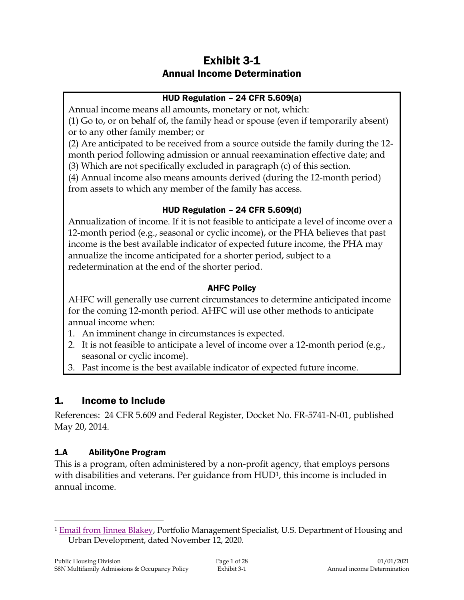# Exhibit 3-1 Annual Income Determination

#### HUD Regulation – 24 CFR 5.609(a)

Annual income means all amounts, monetary or not, which:

(1) Go to, or on behalf of, the family head or spouse (even if temporarily absent) or to any other family member; or

(2) Are anticipated to be received from a source outside the family during the 12 month period following admission or annual reexamination effective date; and (3) Which are not specifically excluded in paragraph (c) of this section.

(4) Annual income also means amounts derived (during the 12-month period) from assets to which any member of the family has access.

#### HUD Regulation – 24 CFR 5.609(d)

Annualization of income. If it is not feasible to anticipate a level of income over a 12-month period (e.g., seasonal or cyclic income), or the PHA believes that past income is the best available indicator of expected future income, the PHA may annualize the income anticipated for a shorter period, subject to a redetermination at the end of the shorter period.

#### AHFC Policy

AHFC will generally use current circumstances to determine anticipated income for the coming 12-month period. AHFC will use other methods to anticipate annual income when:

- 1. An imminent change in circumstances is expected.
- 2. It is not feasible to anticipate a level of income over a 12-month period (e.g., seasonal or cyclic income).
- 3. Past income is the best available indicator of expected future income.

# 1. Income to Include

References: 24 CFR 5.609 and Federal Register, Docket No. FR-5741-N-01, published May 20, 2014.

# 1.A AbilityOne Program

 $\overline{a}$ 

This is a program, often administered by a non-profit agency, that employs persons with disabilities and veterans. Per guidance from HUD<sup>1</sup>, this income is included in annual income.

<sup>1</sup> [Email from Jinnea Blakey,](https://intranet/download_file/18837/0) Portfolio Management Specialist, U.S. Department of Housing and Urban Development, dated November 12, 2020.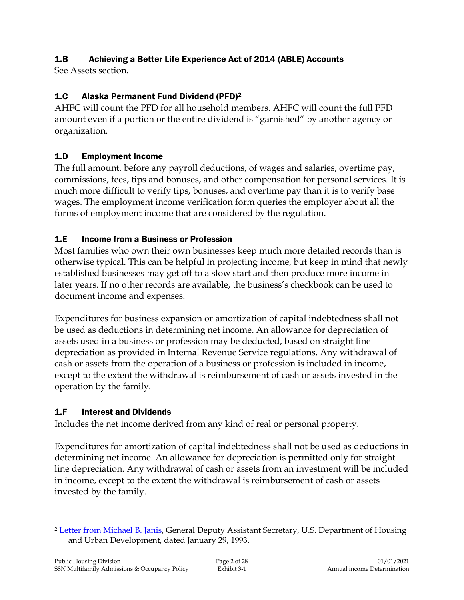# 1.B Achieving a Better Life Experience Act of 2014 (ABLE) Accounts

See Assets section.

#### 1.C Alaska Permanent Fund Dividend (PFD)<sup>2</sup>

AHFC will count the PFD for all household members. AHFC will count the full PFD amount even if a portion or the entire dividend is "garnished" by another agency or organization.

#### 1.D Employment Income

The full amount, before any payroll deductions, of wages and salaries, overtime pay, commissions, fees, tips and bonuses, and other compensation for personal services. It is much more difficult to verify tips, bonuses, and overtime pay than it is to verify base wages. The employment income verification form queries the employer about all the forms of employment income that are considered by the regulation.

#### 1.E Income from a Business or Profession

Most families who own their own businesses keep much more detailed records than is otherwise typical. This can be helpful in projecting income, but keep in mind that newly established businesses may get off to a slow start and then produce more income in later years. If no other records are available, the business's checkbook can be used to document income and expenses.

Expenditures for business expansion or amortization of capital indebtedness shall not be used as deductions in determining net income. An allowance for depreciation of assets used in a business or profession may be deducted, based on straight line depreciation as provided in Internal Revenue Service regulations. Any withdrawal of cash or assets from the operation of a business or profession is included in income, except to the extent the withdrawal is reimbursement of cash or assets invested in the operation by the family.

#### 1.F Interest and Dividends

Includes the net income derived from any kind of real or personal property.

Expenditures for amortization of capital indebtedness shall not be used as deductions in determining net income. An allowance for depreciation is permitted only for straight line depreciation. Any withdrawal of cash or assets from an investment will be included in income, except to the extent the withdrawal is reimbursement of cash or assets invested by the family.

 $\overline{a}$ 

<sup>2</sup> [Letter from Michael B. Janis,](https://intranet/download_file/14184) General Deputy Assistant Secretary, U.S. Department of Housing and Urban Development, dated January 29, 1993.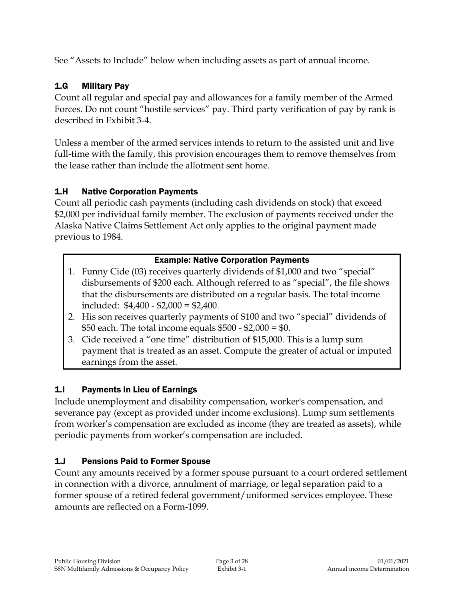See "Assets to Include" below when including assets as part of annual income.

# 1.G Military Pay

Count all regular and special pay and allowances for a family member of the Armed Forces. Do not count "hostile services" pay. Third party verification of pay by rank is described in Exhibit 3-4.

Unless a member of the armed services intends to return to the assisted unit and live full-time with the family, this provision encourages them to remove themselves from the lease rather than include the allotment sent home.

# 1.H Native Corporation Payments

Count all periodic cash payments (including cash dividends on stock) that exceed \$2,000 per individual family member. The exclusion of payments received under the Alaska Native Claims Settlement Act only applies to the original payment made previous to 1984.

# Example: Native Corporation Payments

- 1. Funny Cide (03) receives quarterly dividends of \$1,000 and two "special" disbursements of \$200 each. Although referred to as "special", the file shows that the disbursements are distributed on a regular basis. The total income included: \$4,400 - \$2,000 = \$2,400.
- 2. His son receives quarterly payments of \$100 and two "special" dividends of \$50 each. The total income equals \$500 - \$2,000 = \$0.
- 3. Cide received a "one time" distribution of \$15,000. This is a lump sum payment that is treated as an asset. Compute the greater of actual or imputed earnings from the asset.

# 1.I Payments in Lieu of Earnings

Include unemployment and disability compensation, worker's compensation, and severance pay (except as provided under income exclusions). Lump sum settlements from worker's compensation are excluded as income (they are treated as assets), while periodic payments from worker's compensation are included.

# 1.J Pensions Paid to Former Spouse

Count any amounts received by a former spouse pursuant to a court ordered settlement in connection with a divorce, annulment of marriage, or legal separation paid to a former spouse of a retired federal government/uniformed services employee. These amounts are reflected on a Form-1099.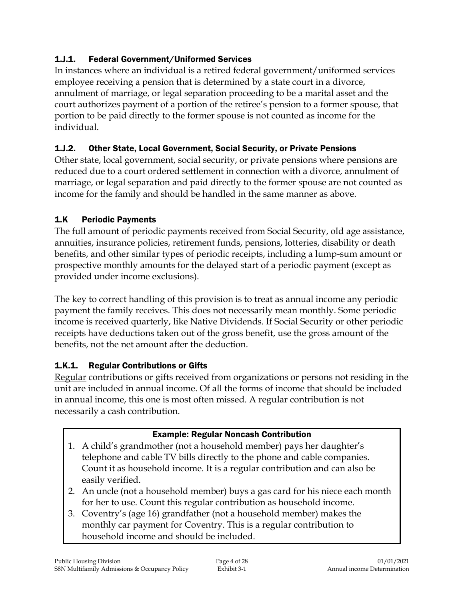# 1.J.1. Federal Government/Uniformed Services

In instances where an individual is a retired federal government/uniformed services employee receiving a pension that is determined by a state court in a divorce, annulment of marriage, or legal separation proceeding to be a marital asset and the court authorizes payment of a portion of the retiree's pension to a former spouse, that portion to be paid directly to the former spouse is not counted as income for the individual.

# 1.J.2. Other State, Local Government, Social Security, or Private Pensions

Other state, local government, social security, or private pensions where pensions are reduced due to a court ordered settlement in connection with a divorce, annulment of marriage, or legal separation and paid directly to the former spouse are not counted as income for the family and should be handled in the same manner as above.

# 1.K Periodic Payments

The full amount of periodic payments received from Social Security, old age assistance, annuities, insurance policies, retirement funds, pensions, lotteries, disability or death benefits, and other similar types of periodic receipts, including a lump-sum amount or prospective monthly amounts for the delayed start of a periodic payment (except as provided under income exclusions).

The key to correct handling of this provision is to treat as annual income any periodic payment the family receives. This does not necessarily mean monthly. Some periodic income is received quarterly, like Native Dividends. If Social Security or other periodic receipts have deductions taken out of the gross benefit, use the gross amount of the benefits, not the net amount after the deduction.

# 1.K.1. Regular Contributions or Gifts

Regular contributions or gifts received from organizations or persons not residing in the unit are included in annual income. Of all the forms of income that should be included in annual income, this one is most often missed. A regular contribution is not necessarily a cash contribution.

# Example: Regular Noncash Contribution

- 1. A child's grandmother (not a household member) pays her daughter's telephone and cable TV bills directly to the phone and cable companies. Count it as household income. It is a regular contribution and can also be easily verified.
- 2. An uncle (not a household member) buys a gas card for his niece each month for her to use. Count this regular contribution as household income.
- 3. Coventry's (age 16) grandfather (not a household member) makes the monthly car payment for Coventry. This is a regular contribution to household income and should be included.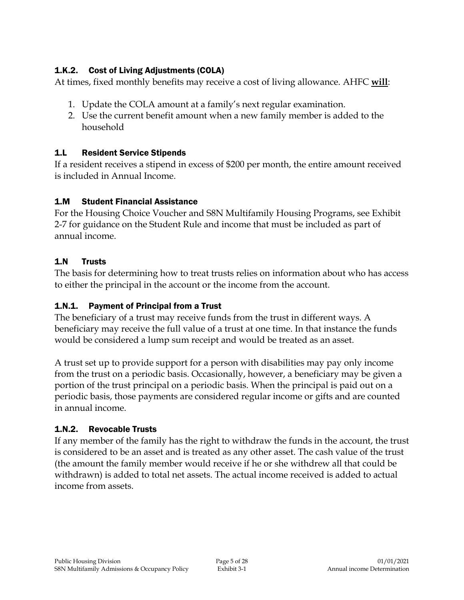# 1.K.2. Cost of Living Adjustments (COLA)

At times, fixed monthly benefits may receive a cost of living allowance. AHFC **will**:

- 1. Update the COLA amount at a family's next regular examination.
- 2. Use the current benefit amount when a new family member is added to the household

# 1.L Resident Service Stipends

If a resident receives a stipend in excess of \$200 per month, the entire amount received is included in Annual Income.

#### 1.M Student Financial Assistance

For the Housing Choice Voucher and S8N Multifamily Housing Programs, see Exhibit 2-7 for guidance on the Student Rule and income that must be included as part of annual income.

# 1.N Trusts

The basis for determining how to treat trusts relies on information about who has access to either the principal in the account or the income from the account.

# 1.N.1. Payment of Principal from a Trust

The beneficiary of a trust may receive funds from the trust in different ways. A beneficiary may receive the full value of a trust at one time. In that instance the funds would be considered a lump sum receipt and would be treated as an asset.

A trust set up to provide support for a person with disabilities may pay only income from the trust on a periodic basis. Occasionally, however, a beneficiary may be given a portion of the trust principal on a periodic basis. When the principal is paid out on a periodic basis, those payments are considered regular income or gifts and are counted in annual income.

# 1.N.2. Revocable Trusts

If any member of the family has the right to withdraw the funds in the account, the trust is considered to be an asset and is treated as any other asset. The cash value of the trust (the amount the family member would receive if he or she withdrew all that could be withdrawn) is added to total net assets. The actual income received is added to actual income from assets.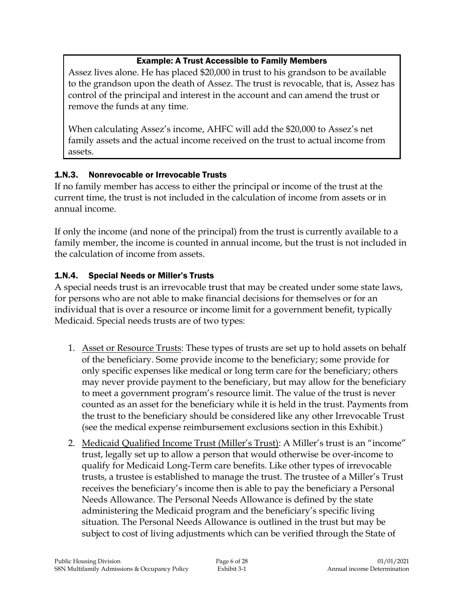#### Example: A Trust Accessible to Family Members

Assez lives alone. He has placed \$20,000 in trust to his grandson to be available to the grandson upon the death of Assez. The trust is revocable, that is, Assez has control of the principal and interest in the account and can amend the trust or remove the funds at any time.

When calculating Assez's income, AHFC will add the \$20,000 to Assez's net family assets and the actual income received on the trust to actual income from assets.

# 1.N.3. Nonrevocable or Irrevocable Trusts

If no family member has access to either the principal or income of the trust at the current time, the trust is not included in the calculation of income from assets or in annual income.

If only the income (and none of the principal) from the trust is currently available to a family member, the income is counted in annual income, but the trust is not included in the calculation of income from assets.

#### 1.N.4. Special Needs or Miller's Trusts

A special needs trust is an irrevocable trust that may be created under some state laws, for persons who are not able to make financial decisions for themselves or for an individual that is over a resource or income limit for a government benefit, typically Medicaid. Special needs trusts are of two types:

- 1. Asset or Resource Trusts: These types of trusts are set up to hold assets on behalf of the beneficiary. Some provide income to the beneficiary; some provide for only specific expenses like medical or long term care for the beneficiary; others may never provide payment to the beneficiary, but may allow for the beneficiary to meet a government program's resource limit. The value of the trust is never counted as an asset for the beneficiary while it is held in the trust. Payments from the trust to the beneficiary should be considered like any other Irrevocable Trust (see the medical expense reimbursement exclusions section in this Exhibit.)
- 2. Medicaid Qualified Income Trust (Miller's Trust): A Miller's trust is an "income" trust, legally set up to allow a person that would otherwise be over-income to qualify for Medicaid Long-Term care benefits. Like other types of irrevocable trusts, a trustee is established to manage the trust. The trustee of a Miller's Trust receives the beneficiary's income then is able to pay the beneficiary a Personal Needs Allowance. The Personal Needs Allowance is defined by the state administering the Medicaid program and the beneficiary's specific living situation. The Personal Needs Allowance is outlined in the trust but may be subject to cost of living adjustments which can be verified through the State of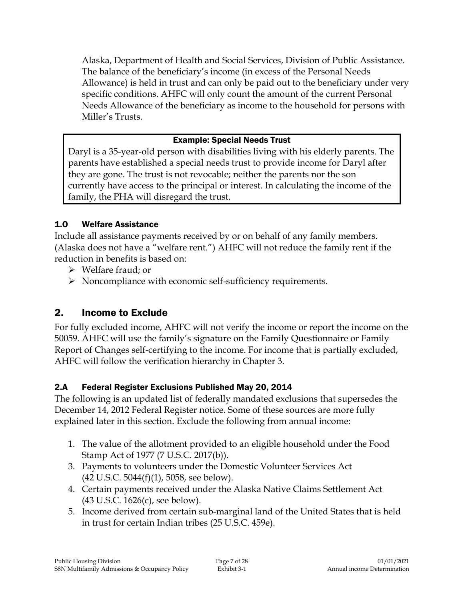Alaska, Department of Health and Social Services, Division of Public Assistance. The balance of the beneficiary's income (in excess of the Personal Needs Allowance) is held in trust and can only be paid out to the beneficiary under very specific conditions. AHFC will only count the amount of the current Personal Needs Allowance of the beneficiary as income to the household for persons with Miller's Trusts.

# Example: Special Needs Trust

Daryl is a 35-year-old person with disabilities living with his elderly parents. The parents have established a special needs trust to provide income for Daryl after they are gone. The trust is not revocable; neither the parents nor the son currently have access to the principal or interest. In calculating the income of the family, the PHA will disregard the trust.

#### 1.O Welfare Assistance

Include all assistance payments received by or on behalf of any family members. (Alaska does not have a "welfare rent.") AHFC will not reduce the family rent if the reduction in benefits is based on:

- Welfare fraud; or
- Noncompliance with economic self-sufficiency requirements.

# 2. Income to Exclude

For fully excluded income, AHFC will not verify the income or report the income on the 50059. AHFC will use the family's signature on the Family Questionnaire or Family Report of Changes self-certifying to the income. For income that is partially excluded, AHFC will follow the verification hierarchy in Chapter 3.

# 2.A Federal Register Exclusions Published May 20, 2014

The following is an updated list of federally mandated exclusions that supersedes the December 14, 2012 Federal Register notice. Some of these sources are more fully explained later in this section. Exclude the following from annual income:

- 1. The value of the allotment provided to an eligible household under the Food Stamp Act of 1977 (7 U.S.C. 2017(b)).
- 3. Payments to volunteers under the Domestic Volunteer Services Act  $(42 \text{ U.S.C. } 5044(f)(1), 5058, \text{ see below}).$
- 4. Certain payments received under the Alaska Native Claims Settlement Act (43 U.S.C. 1626(c), see below).
- 5. Income derived from certain sub-marginal land of the United States that is held in trust for certain Indian tribes (25 U.S.C. 459e).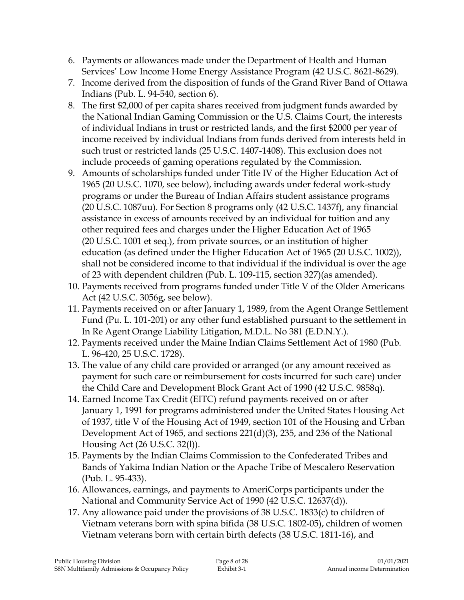- 6. Payments or allowances made under the Department of Health and Human Services' Low Income Home Energy Assistance Program (42 U.S.C. 8621-8629).
- 7. Income derived from the disposition of funds of the Grand River Band of Ottawa Indians (Pub. L. 94-540, section 6).
- 8. The first \$2,000 of per capita shares received from judgment funds awarded by the National Indian Gaming Commission or the U.S. Claims Court, the interests of individual Indians in trust or restricted lands, and the first \$2000 per year of income received by individual Indians from funds derived from interests held in such trust or restricted lands (25 U.S.C. 1407-1408). This exclusion does not include proceeds of gaming operations regulated by the Commission.
- 9. Amounts of scholarships funded under Title IV of the Higher Education Act of 1965 (20 U.S.C. 1070, see below), including awards under federal work-study programs or under the Bureau of Indian Affairs student assistance programs (20 U.S.C. 1087uu). For Section 8 programs only (42 U.S.C. 1437f), any financial assistance in excess of amounts received by an individual for tuition and any other required fees and charges under the Higher Education Act of 1965 (20 U.S.C. 1001 et seq.), from private sources, or an institution of higher education (as defined under the Higher Education Act of 1965 (20 U.S.C. 1002)), shall not be considered income to that individual if the individual is over the age of 23 with dependent children (Pub. L. 109-115, section 327)(as amended).
- 10. Payments received from programs funded under Title V of the Older Americans Act (42 U.S.C. 3056g, see below).
- 11. Payments received on or after January 1, 1989, from the Agent Orange Settlement Fund (Pu. L. 101-201) or any other fund established pursuant to the settlement in In Re Agent Orange Liability Litigation, M.D.L. No 381 (E.D.N.Y.).
- 12. Payments received under the Maine Indian Claims Settlement Act of 1980 (Pub. L. 96-420, 25 U.S.C. 1728).
- 13. The value of any child care provided or arranged (or any amount received as payment for such care or reimbursement for costs incurred for such care) under the Child Care and Development Block Grant Act of 1990 (42 U.S.C. 9858q).
- 14. Earned Income Tax Credit (EITC) refund payments received on or after January 1, 1991 for programs administered under the United States Housing Act of 1937, title V of the Housing Act of 1949, section 101 of the Housing and Urban Development Act of 1965, and sections 221(d)(3), 235, and 236 of the National Housing Act (26 U.S.C. 32(l)).
- 15. Payments by the Indian Claims Commission to the Confederated Tribes and Bands of Yakima Indian Nation or the Apache Tribe of Mescalero Reservation (Pub. L. 95-433).
- 16. Allowances, earnings, and payments to AmeriCorps participants under the National and Community Service Act of 1990 (42 U.S.C. 12637(d)).
- 17. Any allowance paid under the provisions of 38 U.S.C. 1833(c) to children of Vietnam veterans born with spina bifida (38 U.S.C. 1802-05), children of women Vietnam veterans born with certain birth defects (38 U.S.C. 1811-16), and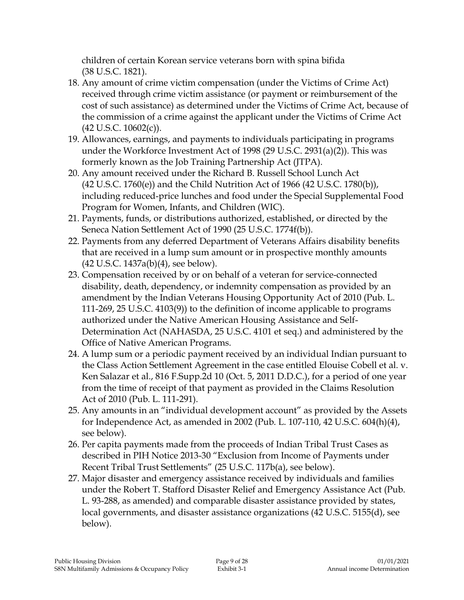children of certain Korean service veterans born with spina bifida (38 U.S.C. 1821).

- 18. Any amount of crime victim compensation (under the Victims of Crime Act) received through crime victim assistance (or payment or reimbursement of the cost of such assistance) as determined under the Victims of Crime Act, because of the commission of a crime against the applicant under the Victims of Crime Act  $(42 \text{ U.S.C. } 10602(c))$ .
- 19. Allowances, earnings, and payments to individuals participating in programs under the Workforce Investment Act of 1998 (29 U.S.C. 2931(a)(2)). This was formerly known as the Job Training Partnership Act (JTPA).
- 20. Any amount received under the Richard B. Russell School Lunch Act (42 U.S.C. 1760(e)) and the Child Nutrition Act of 1966 (42 U.S.C. 1780(b)), including reduced-price lunches and food under the Special Supplemental Food Program for Women, Infants, and Children (WIC).
- 21. Payments, funds, or distributions authorized, established, or directed by the Seneca Nation Settlement Act of 1990 (25 U.S.C. 1774f(b)).
- 22. Payments from any deferred Department of Veterans Affairs disability benefits that are received in a lump sum amount or in prospective monthly amounts (42 U.S.C. 1437a(b)(4), see below).
- 23. Compensation received by or on behalf of a veteran for service-connected disability, death, dependency, or indemnity compensation as provided by an amendment by the Indian Veterans Housing Opportunity Act of 2010 (Pub. L. 111-269, 25 U.S.C. 4103(9)) to the definition of income applicable to programs authorized under the Native American Housing Assistance and Self-Determination Act (NAHASDA, 25 U.S.C. 4101 et seq.) and administered by the Office of Native American Programs.
- 24. A lump sum or a periodic payment received by an individual Indian pursuant to the Class Action Settlement Agreement in the case entitled Elouise Cobell et al. v. Ken Salazar et al., 816 F.Supp.2d 10 (Oct. 5, 2011 D.D.C.), for a period of one year from the time of receipt of that payment as provided in the Claims Resolution Act of 2010 (Pub. L. 111-291).
- 25. Any amounts in an "individual development account" as provided by the Assets for Independence Act, as amended in 2002 (Pub. L. 107-110, 42 U.S.C. 604(h)(4), see below).
- 26. Per capita payments made from the proceeds of Indian Tribal Trust Cases as described in PIH Notice 2013-30 "Exclusion from Income of Payments under Recent Tribal Trust Settlements" (25 U.S.C. 117b(a), see below).
- 27. Major disaster and emergency assistance received by individuals and families under the Robert T. Stafford Disaster Relief and Emergency Assistance Act (Pub. L. 93-288, as amended) and comparable disaster assistance provided by states, local governments, and disaster assistance organizations (42 U.S.C. 5155(d), see below).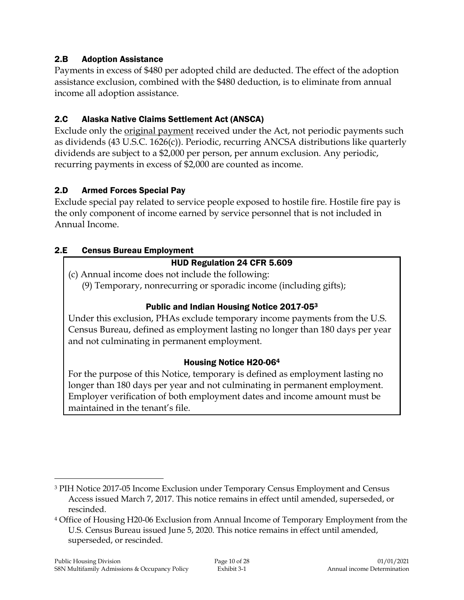#### 2.B Adoption Assistance

Payments in excess of \$480 per adopted child are deducted. The effect of the adoption assistance exclusion, combined with the \$480 deduction, is to eliminate from annual income all adoption assistance.

#### 2.C Alaska Native Claims Settlement Act (ANSCA)

Exclude only the original payment received under the Act, not periodic payments such as dividends (43 U.S.C. 1626(c)). Periodic, recurring ANCSA distributions like quarterly dividends are subject to a \$2,000 per person, per annum exclusion. Any periodic, recurring payments in excess of \$2,000 are counted as income.

#### 2.D Armed Forces Special Pay

Exclude special pay related to service people exposed to hostile fire. Hostile fire pay is the only component of income earned by service personnel that is not included in Annual Income.

#### 2.E Census Bureau Employment

# HUD Regulation 24 CFR 5.609

(c) Annual income does not include the following: (9) Temporary, nonrecurring or sporadic income (including gifts);

#### Public and Indian Housing Notice 2017-05<sup>3</sup>

Under this exclusion, PHAs exclude temporary income payments from the U.S. Census Bureau, defined as employment lasting no longer than 180 days per year and not culminating in permanent employment.

#### Housing Notice H20-06<sup>4</sup>

For the purpose of this Notice, temporary is defined as employment lasting no longer than 180 days per year and not culminating in permanent employment. Employer verification of both employment dates and income amount must be maintained in the tenant's file.

 $\overline{a}$ 

<sup>3</sup> PIH Notice 2017-05 Income Exclusion under Temporary Census Employment and Census Access issued March 7, 2017. This notice remains in effect until amended, superseded, or rescinded.

<sup>4</sup> Office of Housing H20-06 Exclusion from Annual Income of Temporary Employment from the U.S. Census Bureau issued June 5, 2020. This notice remains in effect until amended, superseded, or rescinded.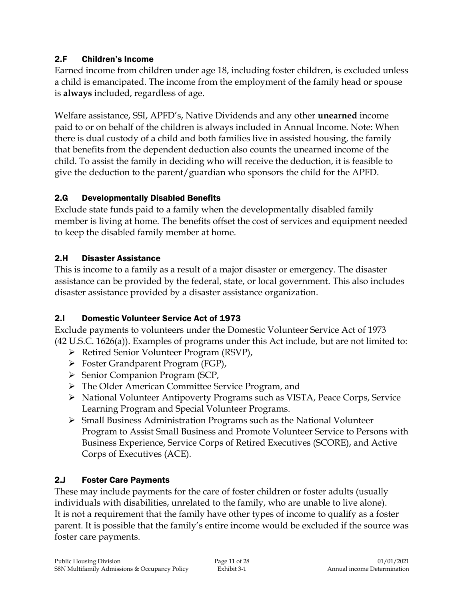### 2.F Children's Income

Earned income from children under age 18, including foster children, is excluded unless a child is emancipated. The income from the employment of the family head or spouse is **always** included, regardless of age.

Welfare assistance, SSI, APFD's, Native Dividends and any other **unearned** income paid to or on behalf of the children is always included in Annual Income. Note: When there is dual custody of a child and both families live in assisted housing, the family that benefits from the dependent deduction also counts the unearned income of the child. To assist the family in deciding who will receive the deduction, it is feasible to give the deduction to the parent/guardian who sponsors the child for the APFD.

# 2.G Developmentally Disabled Benefits

Exclude state funds paid to a family when the developmentally disabled family member is living at home. The benefits offset the cost of services and equipment needed to keep the disabled family member at home.

#### 2.H Disaster Assistance

This is income to a family as a result of a major disaster or emergency. The disaster assistance can be provided by the federal, state, or local government. This also includes disaster assistance provided by a disaster assistance organization.

# 2.I Domestic Volunteer Service Act of 1973

Exclude payments to volunteers under the Domestic Volunteer Service Act of 1973 (42 U.S.C. 1626(a)). Examples of programs under this Act include, but are not limited to:

- Retired Senior Volunteer Program (RSVP),
- Foster Grandparent Program (FGP),
- $\triangleright$  Senior Companion Program (SCP,
- The Older American Committee Service Program, and
- National Volunteer Antipoverty Programs such as VISTA, Peace Corps, Service Learning Program and Special Volunteer Programs.
- $\triangleright$  Small Business Administration Programs such as the National Volunteer Program to Assist Small Business and Promote Volunteer Service to Persons with Business Experience, Service Corps of Retired Executives (SCORE), and Active Corps of Executives (ACE).

# 2.J Foster Care Payments

These may include payments for the care of foster children or foster adults (usually individuals with disabilities, unrelated to the family, who are unable to live alone). It is not a requirement that the family have other types of income to qualify as a foster parent. It is possible that the family's entire income would be excluded if the source was foster care payments.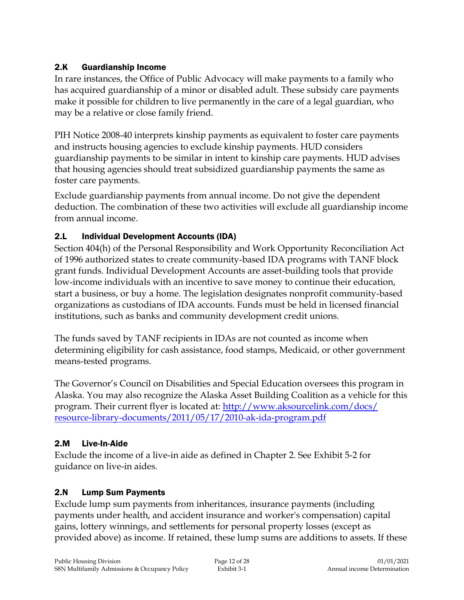#### 2.K Guardianship Income

In rare instances, the Office of Public Advocacy will make payments to a family who has acquired guardianship of a minor or disabled adult. These subsidy care payments make it possible for children to live permanently in the care of a legal guardian, who may be a relative or close family friend.

PIH Notice 2008-40 interprets kinship payments as equivalent to foster care payments and instructs housing agencies to exclude kinship payments. HUD considers guardianship payments to be similar in intent to kinship care payments. HUD advises that housing agencies should treat subsidized guardianship payments the same as foster care payments.

Exclude guardianship payments from annual income. Do not give the dependent deduction. The combination of these two activities will exclude all guardianship income from annual income.

#### 2.L Individual Development Accounts (IDA)

Section 404(h) of the Personal Responsibility and Work Opportunity Reconciliation Act of 1996 authorized states to create community-based IDA programs with TANF block grant funds. Individual Development Accounts are asset-building tools that provide low-income individuals with an incentive to save money to continue their education, start a business, or buy a home. The legislation designates nonprofit community-based organizations as custodians of IDA accounts. Funds must be held in licensed financial institutions, such as banks and community development credit unions.

The funds saved by TANF recipients in IDAs are not counted as income when determining eligibility for cash assistance, food stamps, Medicaid, or other government means-tested programs.

The Governor's Council on Disabilities and Special Education oversees this program in Alaska. You may also recognize the Alaska Asset Building Coalition as a vehicle for this program. Their current flyer is located at: [http://www.aksourcelink.com/docs/](http://www.aksourcelink.com/docs/%0bresource-library-documents/2011/05/17/2010-ak-ida-program.pdf) [resource-library-documents/2011/05/17/2010-ak-ida-program.pdf](http://www.aksourcelink.com/docs/%0bresource-library-documents/2011/05/17/2010-ak-ida-program.pdf)

# 2.M Live-In-Aide

Exclude the income of a live-in aide as defined in Chapter 2. See Exhibit 5-2 for guidance on live-in aides.

# 2.N Lump Sum Payments

Exclude lump sum payments from inheritances, insurance payments (including payments under health, and accident insurance and worker's compensation) capital gains, lottery winnings, and settlements for personal property losses (except as provided above) as income. If retained, these lump sums are additions to assets. If these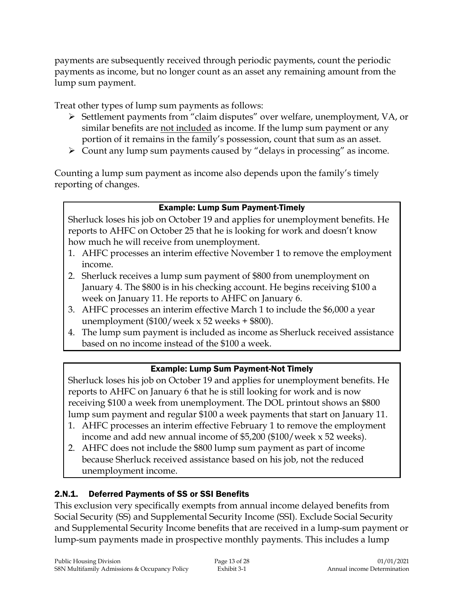payments are subsequently received through periodic payments, count the periodic payments as income, but no longer count as an asset any remaining amount from the lump sum payment.

Treat other types of lump sum payments as follows:

- Settlement payments from "claim disputes" over welfare, unemployment, VA, or similar benefits are not included as income. If the lump sum payment or any portion of it remains in the family's possession, count that sum as an asset.
- $\triangleright$  Count any lump sum payments caused by "delays in processing" as income.

Counting a lump sum payment as income also depends upon the family's timely reporting of changes.

# Example: Lump Sum Payment-Timely

Sherluck loses his job on October 19 and applies for unemployment benefits. He reports to AHFC on October 25 that he is looking for work and doesn't know how much he will receive from unemployment.

- 1. AHFC processes an interim effective November 1 to remove the employment income.
- 2. Sherluck receives a lump sum payment of \$800 from unemployment on January 4. The \$800 is in his checking account. He begins receiving \$100 a week on January 11. He reports to AHFC on January 6.
- 3. AHFC processes an interim effective March 1 to include the \$6,000 a year unemployment ( $$100/$ week x 52 weeks +  $$800$ ).
- 4. The lump sum payment is included as income as Sherluck received assistance based on no income instead of the \$100 a week.

# Example: Lump Sum Payment-Not Timely

Sherluck loses his job on October 19 and applies for unemployment benefits. He reports to AHFC on January 6 that he is still looking for work and is now receiving \$100 a week from unemployment. The DOL printout shows an \$800 lump sum payment and regular \$100 a week payments that start on January 11.

- 1. AHFC processes an interim effective February 1 to remove the employment income and add new annual income of \$5,200 (\$100/week x 52 weeks).
- 2. AHFC does not include the \$800 lump sum payment as part of income because Sherluck received assistance based on his job, not the reduced unemployment income.

# 2.N.1. Deferred Payments of SS or SSI Benefits

This exclusion very specifically exempts from annual income delayed benefits from Social Security (SS) and Supplemental Security Income (SSI). Exclude Social Security and Supplemental Security Income benefits that are received in a lump-sum payment or lump-sum payments made in prospective monthly payments. This includes a lump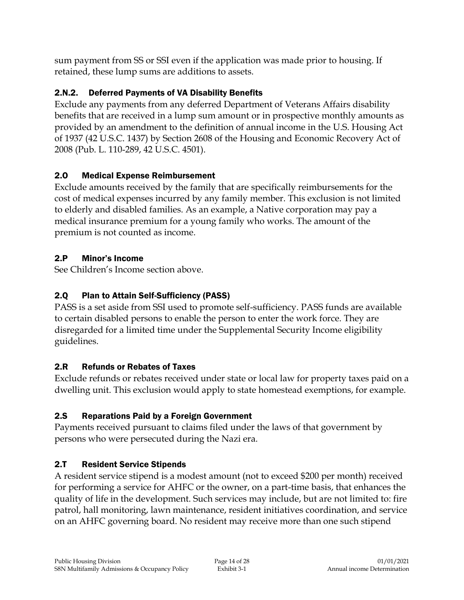sum payment from SS or SSI even if the application was made prior to housing. If retained, these lump sums are additions to assets.

# 2.N.2. Deferred Payments of VA Disability Benefits

Exclude any payments from any deferred Department of Veterans Affairs disability benefits that are received in a lump sum amount or in prospective monthly amounts as provided by an amendment to the definition of annual income in the U.S. Housing Act of 1937 (42 U.S.C. 1437) by Section 2608 of the Housing and Economic Recovery Act of 2008 (Pub. L. 110-289, 42 U.S.C. 4501).

# 2.O Medical Expense Reimbursement

Exclude amounts received by the family that are specifically reimbursements for the cost of medical expenses incurred by any family member. This exclusion is not limited to elderly and disabled families. As an example, a Native corporation may pay a medical insurance premium for a young family who works. The amount of the premium is not counted as income.

# 2.P Minor's Income

See Children's Income section above.

# 2.Q Plan to Attain Self-Sufficiency (PASS)

PASS is a set aside from SSI used to promote self-sufficiency. PASS funds are available to certain disabled persons to enable the person to enter the work force. They are disregarded for a limited time under the Supplemental Security Income eligibility guidelines.

# 2.R Refunds or Rebates of Taxes

Exclude refunds or rebates received under state or local law for property taxes paid on a dwelling unit. This exclusion would apply to state homestead exemptions, for example.

# 2.S Reparations Paid by a Foreign Government

Payments received pursuant to claims filed under the laws of that government by persons who were persecuted during the Nazi era.

# 2.T Resident Service Stipends

A resident service stipend is a modest amount (not to exceed \$200 per month) received for performing a service for AHFC or the owner, on a part-time basis, that enhances the quality of life in the development. Such services may include, but are not limited to: fire patrol, hall monitoring, lawn maintenance, resident initiatives coordination, and service on an AHFC governing board. No resident may receive more than one such stipend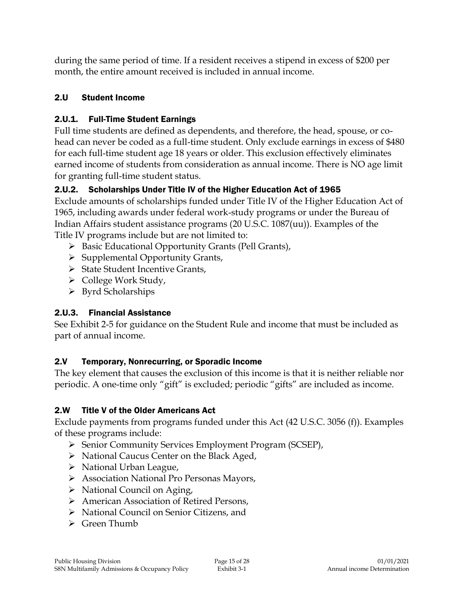during the same period of time. If a resident receives a stipend in excess of \$200 per month, the entire amount received is included in annual income.

# 2.U Student Income

# 2.U.1. Full-Time Student Earnings

Full time students are defined as dependents, and therefore, the head, spouse, or cohead can never be coded as a full-time student. Only exclude earnings in excess of \$480 for each full-time student age 18 years or older. This exclusion effectively eliminates earned income of students from consideration as annual income. There is NO age limit for granting full-time student status.

# 2.U.2. Scholarships Under Title IV of the Higher Education Act of 1965

Exclude amounts of scholarships funded under Title IV of the Higher Education Act of 1965, including awards under federal work-study programs or under the Bureau of Indian Affairs student assistance programs (20 U.S.C. 1087(uu)). Examples of the Title IV programs include but are not limited to:

- ▶ Basic Educational Opportunity Grants (Pell Grants),
- $\triangleright$  Supplemental Opportunity Grants,
- $\triangleright$  State Student Incentive Grants,
- $\triangleright$  College Work Study,
- $\triangleright$  Byrd Scholarships

# 2.U.3. Financial Assistance

See Exhibit 2-5 for guidance on the Student Rule and income that must be included as part of annual income.

# 2.V Temporary, Nonrecurring, or Sporadic Income

The key element that causes the exclusion of this income is that it is neither reliable nor periodic. A one-time only "gift" is excluded; periodic "gifts" are included as income.

# 2.W Title V of the Older Americans Act

Exclude payments from programs funded under this Act (42 U.S.C. 3056 (f)). Examples of these programs include:

- Senior Community Services Employment Program (SCSEP),
- > National Caucus Center on the Black Aged,
- $\triangleright$  National Urban League,
- Association National Pro Personas Mayors,
- $\triangleright$  National Council on Aging,
- American Association of Retired Persons,
- National Council on Senior Citizens, and
- $\triangleright$  Green Thumb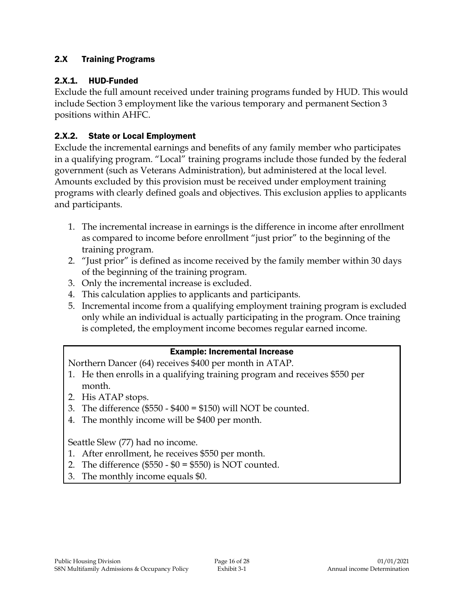### 2.X Training Programs

#### 2.X.1. HUD-Funded

Exclude the full amount received under training programs funded by HUD. This would include Section 3 employment like the various temporary and permanent Section 3 positions within AHFC.

### 2.X.2. State or Local Employment

Exclude the incremental earnings and benefits of any family member who participates in a qualifying program. "Local" training programs include those funded by the federal government (such as Veterans Administration), but administered at the local level. Amounts excluded by this provision must be received under employment training programs with clearly defined goals and objectives. This exclusion applies to applicants and participants.

- 1. The incremental increase in earnings is the difference in income after enrollment as compared to income before enrollment "just prior" to the beginning of the training program.
- 2. "Just prior" is defined as income received by the family member within 30 days of the beginning of the training program.
- 3. Only the incremental increase is excluded.
- 4. This calculation applies to applicants and participants.
- 5. Incremental income from a qualifying employment training program is excluded only while an individual is actually participating in the program. Once training is completed, the employment income becomes regular earned income.

#### Example: Incremental Increase

Northern Dancer (64) receives \$400 per month in ATAP.

- 1. He then enrolls in a qualifying training program and receives \$550 per month.
- 2. His ATAP stops.
- 3. The difference  $(\$550 \$400 = \$150)$  will NOT be counted.
- 4. The monthly income will be \$400 per month.

Seattle Slew (77) had no income.

- 1. After enrollment, he receives \$550 per month.
- 2. The difference  $(\$550 \$0 = \$550)$  is NOT counted.
- 3. The monthly income equals \$0.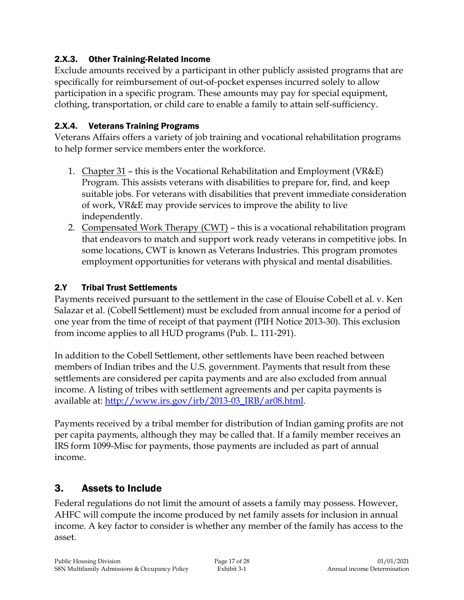### 2.X.3. Other Training-Related Income

Exclude amounts received by a participant in other publicly assisted programs that are specifically for reimbursement of out-of-pocket expenses incurred solely to allow participation in a specific program. These amounts may pay for special equipment, clothing, transportation, or child care to enable a family to attain self-sufficiency.

#### 2.X.4. Veterans Training Programs

Veterans Affairs offers a variety of job training and vocational rehabilitation programs to help former service members enter the workforce.

- 1. Chapter 31 this is the Vocational Rehabilitation and Employment (VR&E) Program. This assists veterans with disabilities to prepare for, find, and keep suitable jobs. For veterans with disabilities that prevent immediate consideration of work, VR&E may provide services to improve the ability to live independently.
- 2. Compensated Work Therapy (CWT) this is a vocational rehabilitation program that endeavors to match and support work ready veterans in competitive jobs. In some locations, CWT is known as Veterans Industries. This program promotes employment opportunities for veterans with physical and mental disabilities.

#### 2.Y Tribal Trust Settlements

Payments received pursuant to the settlement in the case of Elouise Cobell et al. v. Ken Salazar et al. (Cobell Settlement) must be excluded from annual income for a period of one year from the time of receipt of that payment (PIH Notice 2013-30). This exclusion from income applies to all HUD programs (Pub. L. 111-291).

In addition to the Cobell Settlement, other settlements have been reached between members of Indian tribes and the U.S. government. Payments that result from these settlements are considered per capita payments and are also excluded from annual income. A listing of tribes with settlement agreements and per capita payments is available at: [http://www.irs.gov/irb/2013-03\\_IRB/ar08.html.](http://www.irs.gov/irb/2013-03_IRB/ar08.html)

Payments received by a tribal member for distribution of Indian gaming profits are not per capita payments, although they may be called that. If a family member receives an IRS form 1099-Misc for payments, those payments are included as part of annual income.

# 3. Assets to Include

Federal regulations do not limit the amount of assets a family may possess. However, AHFC will compute the income produced by net family assets for inclusion in annual income. A key factor to consider is whether any member of the family has access to the asset.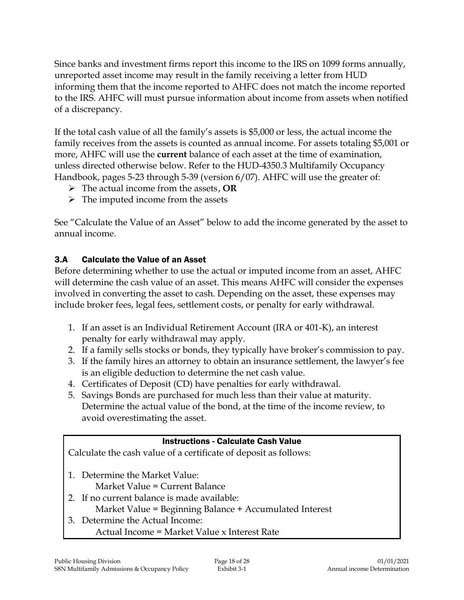Since banks and investment firms report this income to the IRS on 1099 forms annually, unreported asset income may result in the family receiving a letter from HUD informing them that the income reported to AHFC does not match the income reported to the IRS. AHFC will must pursue information about income from assets when notified of a discrepancy.

If the total cash value of all the family's assets is \$5,000 or less, the actual income the family receives from the assets is counted as annual income. For assets totaling \$5,001 or more, AHFC will use the **current** balance of each asset at the time of examination, unless directed otherwise below. Refer to the HUD-4350.3 Multifamily Occupancy Handbook, pages 5-23 through 5-39 (version 6/07). AHFC will use the greater of:

- The actual income from the assets, **OR**
- $\triangleright$  The imputed income from the assets

See "Calculate the Value of an Asset" below to add the income generated by the asset to annual income.

#### 3.A Calculate the Value of an Asset

Before determining whether to use the actual or imputed income from an asset, AHFC will determine the cash value of an asset. This means AHFC will consider the expenses involved in converting the asset to cash. Depending on the asset, these expenses may include broker fees, legal fees, settlement costs, or penalty for early withdrawal.

- 1. If an asset is an Individual Retirement Account (IRA or 401-K), an interest penalty for early withdrawal may apply.
- 2. If a family sells stocks or bonds, they typically have broker's commission to pay.
- 3. If the family hires an attorney to obtain an insurance settlement, the lawyer's fee is an eligible deduction to determine the net cash value.
- 4. Certificates of Deposit (CD) have penalties for early withdrawal.
- 5. Savings Bonds are purchased for much less than their value at maturity. Determine the actual value of the bond, at the time of the income review, to avoid overestimating the asset.

#### Instructions - Calculate Cash Value

Calculate the cash value of a certificate of deposit as follows:

- 1. Determine the Market Value:
	- Market Value = Current Balance
- 2. If no current balance is made available: Market Value = Beginning Balance + Accumulated Interest
- 3. Determine the Actual Income:
	- Actual Income = Market Value x Interest Rate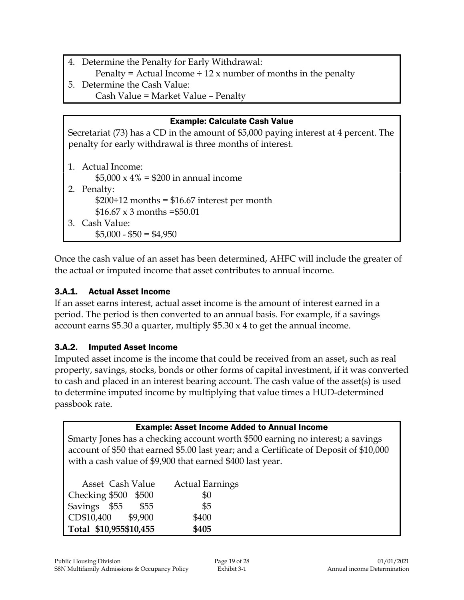- 4. Determine the Penalty for Early Withdrawal:
- Penalty = Actual Income  $\div$  12 x number of months in the penalty
- 5. Determine the Cash Value: Cash Value = Market Value – Penalty

| <b>Example: Calculate Cash Value</b>                                                                                                              |  |  |
|---------------------------------------------------------------------------------------------------------------------------------------------------|--|--|
| Secretariat (73) has a CD in the amount of \$5,000 paying interest at 4 percent. The<br>penalty for early withdrawal is three months of interest. |  |  |
| 1. Actual Income:                                                                                                                                 |  |  |
| \$5,000 x 4% = \$200 in annual income                                                                                                             |  |  |
| 2. Penalty:                                                                                                                                       |  |  |
| $$200 \div 12$ months = \$16.67 interest per month                                                                                                |  |  |
| $$16.67 \times 3$ months = \$50.01                                                                                                                |  |  |
| 3. Cash Value:                                                                                                                                    |  |  |
| $$5,000 - $50 = $4,950$                                                                                                                           |  |  |

Once the cash value of an asset has been determined, AHFC will include the greater of the actual or imputed income that asset contributes to annual income.

#### 3.A.1. Actual Asset Income

If an asset earns interest, actual asset income is the amount of interest earned in a period. The period is then converted to an annual basis. For example, if a savings account earns \$5.30 a quarter, multiply  $$5.30 \times 4$  to get the annual income.

#### 3.A.2. Imputed Asset Income

Imputed asset income is the income that could be received from an asset, such as real property, savings, stocks, bonds or other forms of capital investment, if it was converted to cash and placed in an interest bearing account. The cash value of the asset(s) is used to determine imputed income by multiplying that value times a HUD-determined passbook rate.

| <b>Example: Asset Income Added to Annual Income</b>                                    |                        |  |
|----------------------------------------------------------------------------------------|------------------------|--|
| Smarty Jones has a checking account worth \$500 earning no interest; a savings         |                        |  |
| account of \$50 that earned \$5.00 last year; and a Certificate of Deposit of \$10,000 |                        |  |
| with a cash value of \$9,900 that earned \$400 last year.                              |                        |  |
|                                                                                        |                        |  |
| Asset Cash Value                                                                       | <b>Actual Earnings</b> |  |
| Checking \$500<br>\$500                                                                | \$0                    |  |
| Savings \$55<br>\$55                                                                   | \$5                    |  |
| CD\$10,400 \$9,900                                                                     | \$400                  |  |
| Total \$10,955\$10,455                                                                 | \$405                  |  |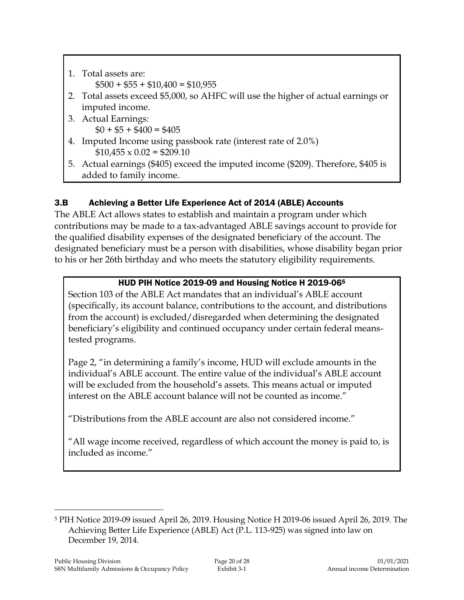1. Total assets are:  $$500 + $55 + $10,400 = $10,955$ 2. Total assets exceed \$5,000, so AHFC will use the higher of actual earnings or imputed income. 3. Actual Earnings:  $$0 + $5 + $400 = $405$ 4. Imputed Income using passbook rate (interest rate of 2.0%)  $$10,455 \times 0.02 = $209.10$ 5. Actual earnings (\$405) exceed the imputed income (\$209). Therefore, \$405 is added to family income.

# 3.B Achieving a Better Life Experience Act of 2014 (ABLE) Accounts

The ABLE Act allows states to establish and maintain a program under which contributions may be made to a tax-advantaged ABLE savings account to provide for the qualified disability expenses of the designated beneficiary of the account. The designated beneficiary must be a person with disabilities, whose disability began prior to his or her 26th birthday and who meets the statutory eligibility requirements.

# HUD PIH Notice 2019-09 and Housing Notice H 2019-06<sup>5</sup>

Section 103 of the ABLE Act mandates that an individual's ABLE account (specifically, its account balance, contributions to the account, and distributions from the account) is excluded/disregarded when determining the designated beneficiary's eligibility and continued occupancy under certain federal meanstested programs.

Page 2, "in determining a family's income, HUD will exclude amounts in the individual's ABLE account. The entire value of the individual's ABLE account will be excluded from the household's assets. This means actual or imputed interest on the ABLE account balance will not be counted as income."

"Distributions from the ABLE account are also not considered income."

"All wage income received, regardless of which account the money is paid to, is included as income."

 $\overline{a}$ <sup>5</sup> PIH Notice 2019-09 issued April 26, 2019. Housing Notice H 2019-06 issued April 26, 2019. The Achieving Better Life Experience (ABLE) Act (P.L. 113-925) was signed into law on December 19, 2014.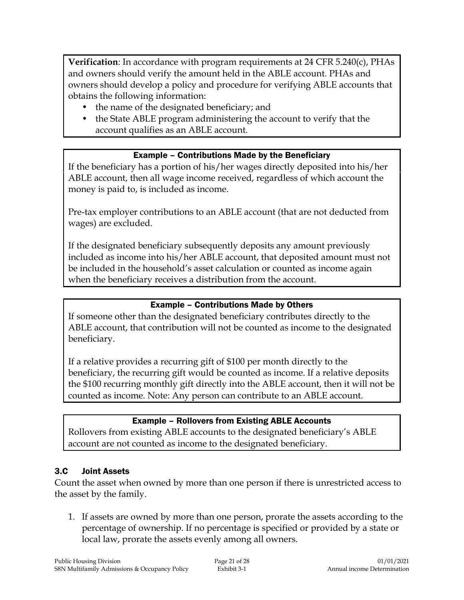**Verification**: In accordance with program requirements at 24 CFR 5.240(c), PHAs and owners should verify the amount held in the ABLE account. PHAs and owners should develop a policy and procedure for verifying ABLE accounts that obtains the following information:

- the name of the designated beneficiary; and
- the State ABLE program administering the account to verify that the account qualifies as an ABLE account.

#### Example – Contributions Made by the Beneficiary

If the beneficiary has a portion of his/her wages directly deposited into his/her ABLE account, then all wage income received, regardless of which account the money is paid to, is included as income.

Pre-tax employer contributions to an ABLE account (that are not deducted from wages) are excluded.

If the designated beneficiary subsequently deposits any amount previously included as income into his/her ABLE account, that deposited amount must not be included in the household's asset calculation or counted as income again when the beneficiary receives a distribution from the account.

#### Example – Contributions Made by Others

If someone other than the designated beneficiary contributes directly to the ABLE account, that contribution will not be counted as income to the designated beneficiary.

If a relative provides a recurring gift of \$100 per month directly to the beneficiary, the recurring gift would be counted as income. If a relative deposits the \$100 recurring monthly gift directly into the ABLE account, then it will not be counted as income. Note: Any person can contribute to an ABLE account.

#### Example – Rollovers from Existing ABLE Accounts

Rollovers from existing ABLE accounts to the designated beneficiary's ABLE account are not counted as income to the designated beneficiary.

#### 3.C Joint Assets

Count the asset when owned by more than one person if there is unrestricted access to the asset by the family.

1. If assets are owned by more than one person, prorate the assets according to the percentage of ownership. If no percentage is specified or provided by a state or local law, prorate the assets evenly among all owners.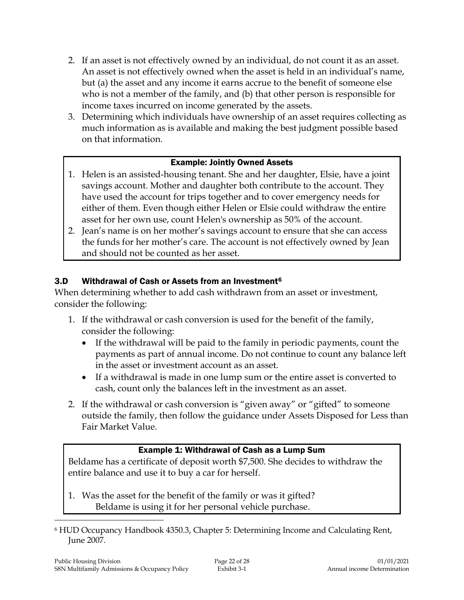- 2. If an asset is not effectively owned by an individual, do not count it as an asset. An asset is not effectively owned when the asset is held in an individual's name, but (a) the asset and any income it earns accrue to the benefit of someone else who is not a member of the family, and (b) that other person is responsible for income taxes incurred on income generated by the assets.
- 3. Determining which individuals have ownership of an asset requires collecting as much information as is available and making the best judgment possible based on that information.

#### Example: Jointly Owned Assets

- 1. Helen is an assisted-housing tenant. She and her daughter, Elsie, have a joint savings account. Mother and daughter both contribute to the account. They have used the account for trips together and to cover emergency needs for either of them. Even though either Helen or Elsie could withdraw the entire asset for her own use, count Helen's ownership as 50% of the account.
- 2. Jean's name is on her mother's savings account to ensure that she can access the funds for her mother's care. The account is not effectively owned by Jean and should not be counted as her asset.

#### 3.D Withdrawal of Cash or Assets from an Investment<sup>6</sup>

When determining whether to add cash withdrawn from an asset or investment, consider the following:

- 1. If the withdrawal or cash conversion is used for the benefit of the family, consider the following:
	- If the withdrawal will be paid to the family in periodic payments, count the payments as part of annual income. Do not continue to count any balance left in the asset or investment account as an asset.
	- If a withdrawal is made in one lump sum or the entire asset is converted to cash, count only the balances left in the investment as an asset.
- 2. If the withdrawal or cash conversion is "given away" or "gifted" to someone outside the family, then follow the guidance under Assets Disposed for Less than Fair Market Value.

#### Example 1: Withdrawal of Cash as a Lump Sum

Beldame has a certificate of deposit worth \$7,500. She decides to withdraw the entire balance and use it to buy a car for herself.

- 1. Was the asset for the benefit of the family or was it gifted? Beldame is using it for her personal vehicle purchase.
- <sup>6</sup> HUD Occupancy Handbook 4350.3, Chapter 5: Determining Income and Calculating Rent, June 2007.

 $\overline{a}$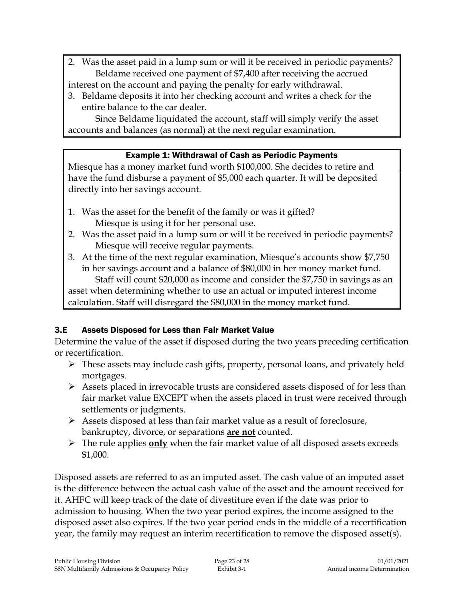- 2. Was the asset paid in a lump sum or will it be received in periodic payments? Beldame received one payment of \$7,400 after receiving the accrued interest on the account and paying the penalty for early withdrawal.
- 3. Beldame deposits it into her checking account and writes a check for the entire balance to the car dealer.

Since Beldame liquidated the account, staff will simply verify the asset accounts and balances (as normal) at the next regular examination.

#### Example 1: Withdrawal of Cash as Periodic Payments

Miesque has a money market fund worth \$100,000. She decides to retire and have the fund disburse a payment of \$5,000 each quarter. It will be deposited directly into her savings account.

- 1. Was the asset for the benefit of the family or was it gifted? Miesque is using it for her personal use.
- 2. Was the asset paid in a lump sum or will it be received in periodic payments? Miesque will receive regular payments.
- 3. At the time of the next regular examination, Miesque's accounts show \$7,750 in her savings account and a balance of \$80,000 in her money market fund.

Staff will count \$20,000 as income and consider the \$7,750 in savings as an asset when determining whether to use an actual or imputed interest income calculation. Staff will disregard the \$80,000 in the money market fund.

# 3.E Assets Disposed for Less than Fair Market Value

Determine the value of the asset if disposed during the two years preceding certification or recertification.

- These assets may include cash gifts, property, personal loans, and privately held mortgages.
- $\triangleright$  Assets placed in irrevocable trusts are considered assets disposed of for less than fair market value EXCEPT when the assets placed in trust were received through settlements or judgments.
- $\triangleright$  Assets disposed at less than fair market value as a result of foreclosure, bankruptcy, divorce, or separations **are not** counted.
- The rule applies **only** when the fair market value of all disposed assets exceeds \$1,000.

Disposed assets are referred to as an imputed asset. The cash value of an imputed asset is the difference between the actual cash value of the asset and the amount received for it. AHFC will keep track of the date of divestiture even if the date was prior to admission to housing. When the two year period expires, the income assigned to the disposed asset also expires. If the two year period ends in the middle of a recertification year, the family may request an interim recertification to remove the disposed asset(s).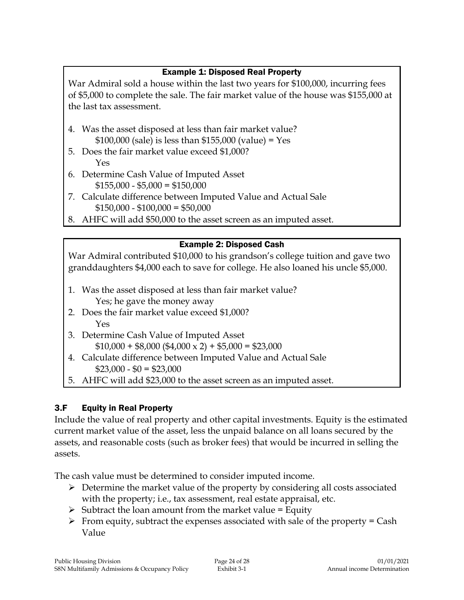### Example 1: Disposed Real Property

War Admiral sold a house within the last two years for \$100,000, incurring fees of \$5,000 to complete the sale. The fair market value of the house was \$155,000 at the last tax assessment.

- 4. Was the asset disposed at less than fair market value? \$100,000 (sale) is less than \$155,000 (value) = Yes
- 5. Does the fair market value exceed \$1,000? Yes
- 6. Determine Cash Value of Imputed Asset  $$155,000 - $5,000 = $150,000$
- 7. Calculate difference between Imputed Value and Actual Sale  $$150,000 - $100,000 = $50,000$
- 8. AHFC will add \$50,000 to the asset screen as an imputed asset.

#### Example 2: Disposed Cash

War Admiral contributed \$10,000 to his grandson's college tuition and gave two granddaughters \$4,000 each to save for college. He also loaned his uncle \$5,000.

- 1. Was the asset disposed at less than fair market value? Yes; he gave the money away
- 2. Does the fair market value exceed \$1,000? Yes
- 3. Determine Cash Value of Imputed Asset  $$10,000 + $8,000 ($4,000 \times 2) + $5,000 = $23,000$
- 4. Calculate difference between Imputed Value and Actual Sale  $$23,000 - $0 = $23,000$
- 5. AHFC will add \$23,000 to the asset screen as an imputed asset.

# 3.F Equity in Real Property

Include the value of real property and other capital investments. Equity is the estimated current market value of the asset, less the unpaid balance on all loans secured by the assets, and reasonable costs (such as broker fees) that would be incurred in selling the assets.

The cash value must be determined to consider imputed income.

- $\triangleright$  Determine the market value of the property by considering all costs associated with the property; i.e., tax assessment, real estate appraisal, etc.
- $\triangleright$  Subtract the loan amount from the market value = Equity
- $\triangleright$  From equity, subtract the expenses associated with sale of the property = Cash Value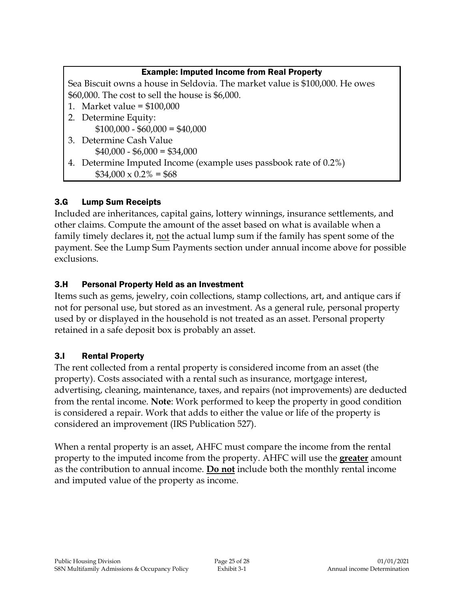| <b>Example: Imputed Income from Real Property</b>                            |  |  |
|------------------------------------------------------------------------------|--|--|
| Sea Biscuit owns a house in Seldovia. The market value is \$100,000. He owes |  |  |
| \$60,000. The cost to sell the house is \$6,000.                             |  |  |
| 1. Market value = $$100,000$                                                 |  |  |
| 2. Determine Equity:                                                         |  |  |
| $$100,000 - $60,000 = $40,000$                                               |  |  |
| 3. Determine Cash Value                                                      |  |  |
| $$40,000 - $6,000 = $34,000$                                                 |  |  |
| 4. Determine Imputed Income (example uses passbook rate of 0.2%)             |  |  |
| $$34,000 \times 0.2\% = $68$                                                 |  |  |

# 3.G Lump Sum Receipts

Included are inheritances, capital gains, lottery winnings, insurance settlements, and other claims. Compute the amount of the asset based on what is available when a family timely declares it, not the actual lump sum if the family has spent some of the payment. See the Lump Sum Payments section under annual income above for possible exclusions.

#### 3.H Personal Property Held as an Investment

Items such as gems, jewelry, coin collections, stamp collections, art, and antique cars if not for personal use, but stored as an investment. As a general rule, personal property used by or displayed in the household is not treated as an asset. Personal property retained in a safe deposit box is probably an asset.

# 3.I Rental Property

The rent collected from a rental property is considered income from an asset (the property). Costs associated with a rental such as insurance, mortgage interest, advertising, cleaning, maintenance, taxes, and repairs (not improvements) are deducted from the rental income. **Note**: Work performed to keep the property in good condition is considered a repair. Work that adds to either the value or life of the property is considered an improvement (IRS Publication 527).

When a rental property is an asset, AHFC must compare the income from the rental property to the imputed income from the property. AHFC will use the **greater** amount as the contribution to annual income. **Do not** include both the monthly rental income and imputed value of the property as income.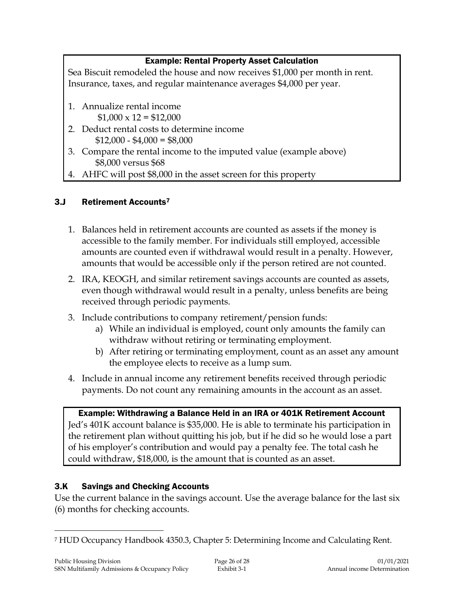#### Example: Rental Property Asset Calculation

Sea Biscuit remodeled the house and now receives \$1,000 per month in rent. Insurance, taxes, and regular maintenance averages \$4,000 per year.

- 1. Annualize rental income  $$1,000 \times 12 = $12,000$
- 2. Deduct rental costs to determine income  $$12,000 - $4,000 = $8,000$
- 3. Compare the rental income to the imputed value (example above) \$8,000 versus \$68
- 4. AHFC will post \$8,000 in the asset screen for this property

# 3.J Retirement Accounts<sup>7</sup>

- 1. Balances held in retirement accounts are counted as assets if the money is accessible to the family member. For individuals still employed, accessible amounts are counted even if withdrawal would result in a penalty. However, amounts that would be accessible only if the person retired are not counted.
- 2. IRA, KEOGH, and similar retirement savings accounts are counted as assets, even though withdrawal would result in a penalty, unless benefits are being received through periodic payments.
- 3. Include contributions to company retirement/pension funds:
	- a) While an individual is employed, count only amounts the family can withdraw without retiring or terminating employment.
	- b) After retiring or terminating employment, count as an asset any amount the employee elects to receive as a lump sum.
- 4. Include in annual income any retirement benefits received through periodic payments. Do not count any remaining amounts in the account as an asset.

Example: Withdrawing a Balance Held in an IRA or 401K Retirement Account Jed's 401K account balance is \$35,000. He is able to terminate his participation in the retirement plan without quitting his job, but if he did so he would lose a part of his employer's contribution and would pay a penalty fee. The total cash he could withdraw, \$18,000, is the amount that is counted as an asset.

# 3.K Savings and Checking Accounts

Use the current balance in the savings account. Use the average balance for the last six (6) months for checking accounts.

 $\overline{a}$ <sup>7</sup> HUD Occupancy Handbook 4350.3, Chapter 5: Determining Income and Calculating Rent.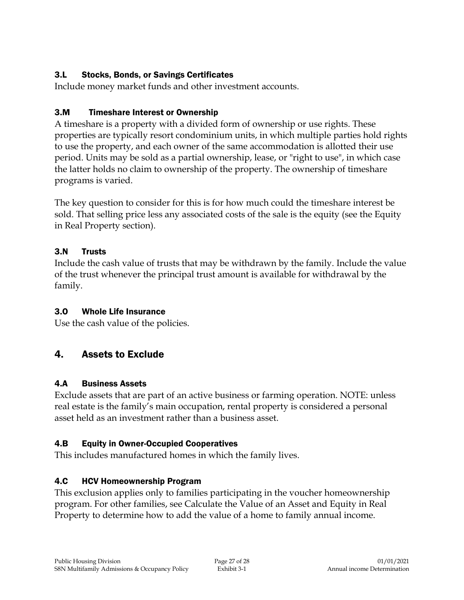### 3.L Stocks, Bonds, or Savings Certificates

Include money market funds and other investment accounts.

### 3.M Timeshare Interest or Ownership

A timeshare is a property with a divided form of ownership or use rights. These properties are typically resort condominium units, in which multiple parties hold rights to use the property, and each owner of the same accommodation is allotted their use period. Units may be sold as a partial ownership, lease, or "right to use", in which case the latter holds no claim to ownership of the property. The ownership of timeshare programs is varied.

The key question to consider for this is for how much could the timeshare interest be sold. That selling price less any associated costs of the sale is the equity (see the Equity in Real Property section).

#### 3.N Trusts

Include the cash value of trusts that may be withdrawn by the family. Include the value of the trust whenever the principal trust amount is available for withdrawal by the family.

# 3.O Whole Life Insurance

Use the cash value of the policies.

# 4. Assets to Exclude

# 4.A Business Assets

Exclude assets that are part of an active business or farming operation. NOTE: unless real estate is the family's main occupation, rental property is considered a personal asset held as an investment rather than a business asset.

# 4.B Equity in Owner-Occupied Cooperatives

This includes manufactured homes in which the family lives.

# 4.C HCV Homeownership Program

This exclusion applies only to families participating in the voucher homeownership program. For other families, see Calculate the Value of an Asset and Equity in Real Property to determine how to add the value of a home to family annual income.